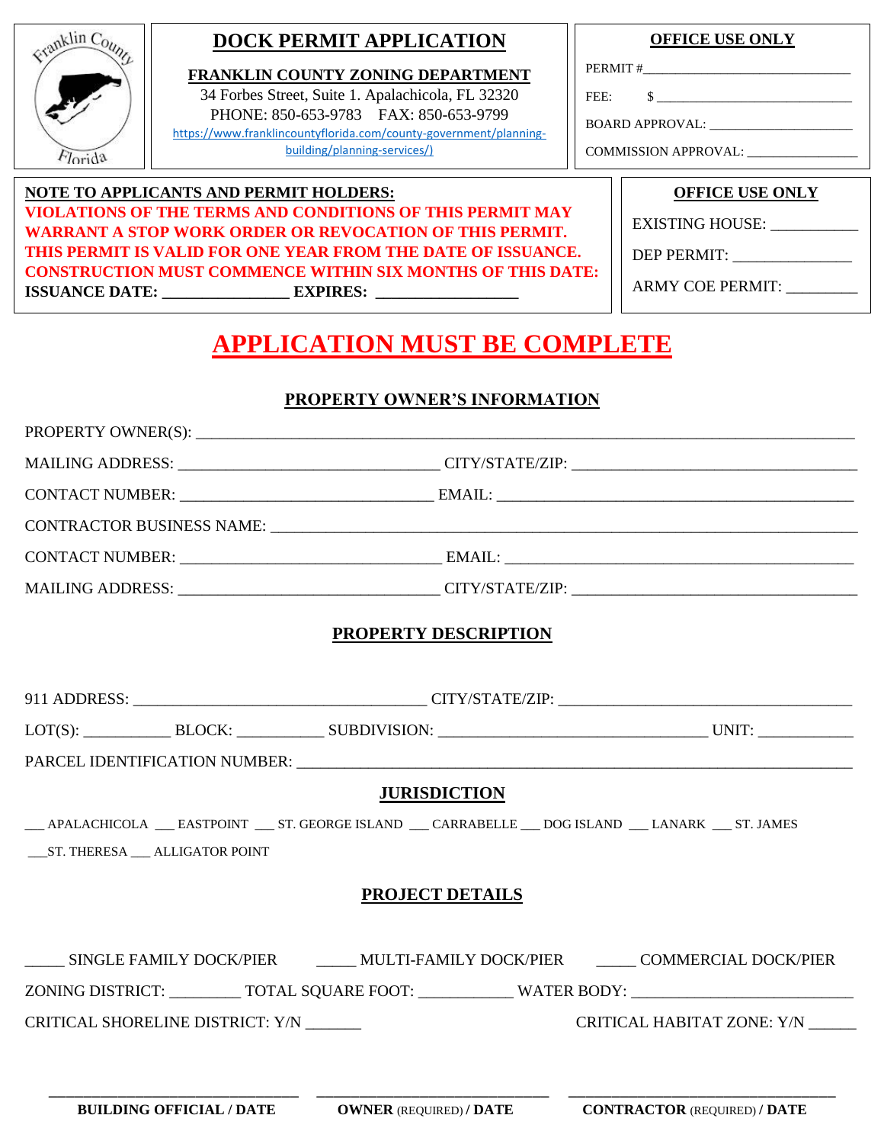

### **DOCK PERMIT APPLICATION**

**FRANKLIN COUNTY ZONING DEPARTMENT** 34 Forbes Street, Suite 1. Apalachicola, FL 32320 PHONE: 850-653-9783 FAX: 850-653-9799 [https://www.franklincountyflorida.com/county-government/planning](https://www.franklincountyflorida.com/county-government/planning-building/planning-services/)[building/planning-services/\)](https://www.franklincountyflorida.com/county-government/planning-building/planning-services/)

### **OFFICE USE ONLY**

PERMIT #

FEE: \$ \_\_\_\_\_\_\_\_\_\_\_\_\_\_\_\_\_\_\_\_\_\_\_\_\_\_\_\_\_\_

BOARD APPROVAL: \_\_\_\_\_\_\_\_\_\_\_\_\_\_\_\_\_\_\_\_\_\_

COMMISSION APPROVAL: \_\_\_\_\_\_\_\_\_

#### **NOTE TO APPLICANTS AND PERMIT HOLDERS: VIOLATIONS OF THE TERMS AND CONDITIONS OF THIS PERMIT MAY WARRANT A STOP WORK ORDER OR REVOCATION OF THIS PERMIT. THIS PERMIT IS VALID FOR ONE YEAR FROM THE DATE OF ISSUANCE. CONSTRUCTION MUST COMMENCE WITHIN SIX MONTHS OF THIS DATE: ISSUANCE DATE: \_\_\_\_\_\_\_\_\_\_\_\_\_\_\_\_ EXPIRES: \_\_\_\_\_\_\_\_\_\_\_\_\_\_\_\_\_\_**

**OFFICE USE ONLY**

EXISTING HOUSE: \_\_\_\_\_\_\_\_\_\_\_

DEP PERMIT:

ARMY COE PERMIT: \_\_\_\_\_\_\_\_\_

# **APPLICATION MUST BE COMPLETE**

### **PROPERTY OWNER'S INFORMATION**

|                                  | PROPERTY OWNER(S):                                                                                                                                                                                                                                                                                                                                                                                                                                                                                                                                                                                                                  |                                   |
|----------------------------------|-------------------------------------------------------------------------------------------------------------------------------------------------------------------------------------------------------------------------------------------------------------------------------------------------------------------------------------------------------------------------------------------------------------------------------------------------------------------------------------------------------------------------------------------------------------------------------------------------------------------------------------|-----------------------------------|
|                                  | MAILING ADDRESS: __________________________________CITY/STATE/ZIP: _________________________________                                                                                                                                                                                                                                                                                                                                                                                                                                                                                                                                |                                   |
|                                  |                                                                                                                                                                                                                                                                                                                                                                                                                                                                                                                                                                                                                                     |                                   |
|                                  |                                                                                                                                                                                                                                                                                                                                                                                                                                                                                                                                                                                                                                     |                                   |
|                                  |                                                                                                                                                                                                                                                                                                                                                                                                                                                                                                                                                                                                                                     |                                   |
|                                  | MAILING ADDRESS: __________________________________CITY/STATE/ZIP: _________________________________                                                                                                                                                                                                                                                                                                                                                                                                                                                                                                                                |                                   |
|                                  | <b>PROPERTY DESCRIPTION</b>                                                                                                                                                                                                                                                                                                                                                                                                                                                                                                                                                                                                         |                                   |
|                                  |                                                                                                                                                                                                                                                                                                                                                                                                                                                                                                                                                                                                                                     |                                   |
|                                  | $LOT(S): \underline{\hspace{2cm}} \underline{\hspace{2cm}} \underline{\hspace{2cm}} \underline{\hspace{2cm}} \underline{\hspace{2cm}} \underline{\hspace{2cm}} \underline{\hspace{2cm}} \underline{\hspace{2cm}} \underline{\hspace{2cm}} \underline{\hspace{2cm}} \underline{\hspace{2cm}} \underline{\hspace{2cm}} \underline{\hspace{2cm}} \underline{\hspace{2cm}} \underline{\hspace{2cm}} \underline{\hspace{2cm}} \underline{\hspace{2cm}} \underline{\hspace{2cm}} \underline{\hspace{2cm}} \underline{\hspace{2cm}} \underline{\hspace{2cm}} \underline{\hspace{2cm}} \underline{\hspace{2cm}} \underline{\hspace{2cm}} \$ |                                   |
|                                  |                                                                                                                                                                                                                                                                                                                                                                                                                                                                                                                                                                                                                                     |                                   |
|                                  | <b>JURISDICTION</b>                                                                                                                                                                                                                                                                                                                                                                                                                                                                                                                                                                                                                 |                                   |
| ST. THERESA __ ALLIGATOR POINT   | __ APALACHICOLA __ EASTPOINT __ ST. GEORGE ISLAND __ CARRABELLE __ DOG ISLAND __ LANARK __ ST. JAMES                                                                                                                                                                                                                                                                                                                                                                                                                                                                                                                                |                                   |
|                                  | <b>PROJECT DETAILS</b>                                                                                                                                                                                                                                                                                                                                                                                                                                                                                                                                                                                                              |                                   |
|                                  | ______ SINGLE FAMILY DOCK/PIER ________ MULTI-FAMILY DOCK/PIER _______ COMMERCIAL DOCK/PIER                                                                                                                                                                                                                                                                                                                                                                                                                                                                                                                                         |                                   |
|                                  | ZONING DISTRICT: ____________ TOTAL SQUARE FOOT: _____________ WATER BODY: _________________________                                                                                                                                                                                                                                                                                                                                                                                                                                                                                                                                |                                   |
| CRITICAL SHORELINE DISTRICT: Y/N |                                                                                                                                                                                                                                                                                                                                                                                                                                                                                                                                                                                                                                     | CRITICAL HABITAT ZONE: Y/N ______ |
|                                  |                                                                                                                                                                                                                                                                                                                                                                                                                                                                                                                                                                                                                                     |                                   |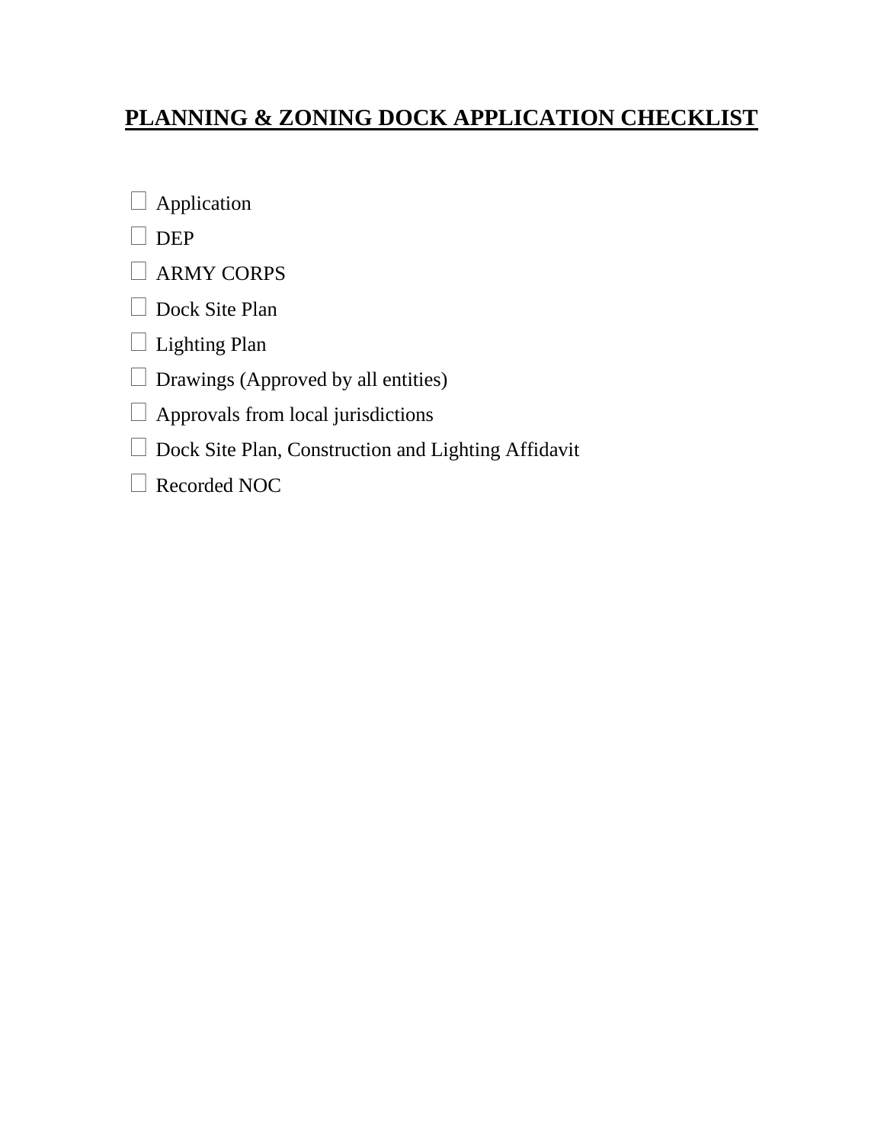## **PLANNING & ZONING DOCK APPLICATION CHECKLIST**

Application

- $\Box$  DEP
- ARMY CORPS
- Dock Site Plan
- □ Lighting Plan
- $\Box$  Drawings (Approved by all entities)
- $\Box$  Approvals from local jurisdictions
- □ Dock Site Plan, Construction and Lighting Affidavit
- Recorded NOC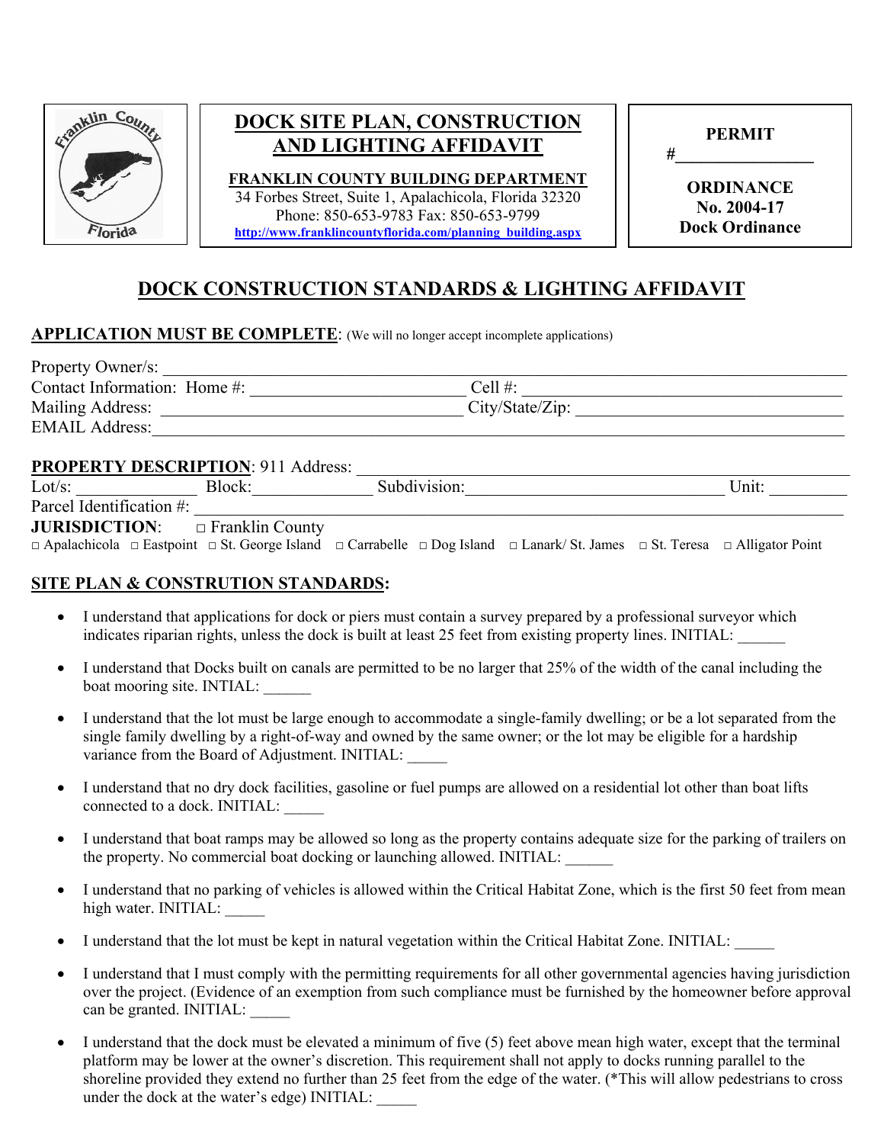

### **DOCK SITE PLAN, CONSTRUCTION AND LIGHTING AFFIDAVIT**

**FRANKLIN COUNTY BUILDING DEPARTMENT**  34 Forbes Street, Suite 1, Apalachicola, Florida 32320 Phone: 850-653-9783 Fax: 850-653-9799 **[http://www.franklincountyflorida.com/planning\\_building.aspx](http://www.franklincountyflorida.com/planning_building.aspx)** 

|   | <b>PERMIT</b> |  |
|---|---------------|--|
| # |               |  |

**ORDINANCE No. 2004-17 Dock Ordinance** 

### **DOCK CONSTRUCTION STANDARDS & LIGHTING AFFIDAVIT**

#### **APPLICATION MUST BE COMPLETE:** (We will no longer accept incomplete applications)

| Property Owner/s:            |                 |  |
|------------------------------|-----------------|--|
| Contact Information: Home #: | Cell $#$ :      |  |
| Mailing Address:             | City/State/Zip: |  |
| <b>EMAIL Address:</b>        |                 |  |

#### PROPERTY DESCRIPTION: 911 Address:

| Lot/s:                                                                                                                                                              | Block: | Subdivision: |  | Unit: |
|---------------------------------------------------------------------------------------------------------------------------------------------------------------------|--------|--------------|--|-------|
| Parcel Identification #:                                                                                                                                            |        |              |  |       |
| <b>JURISDICTION:</b> $\Box$ Franklin County                                                                                                                         |        |              |  |       |
| $\Box$ Apalachicola $\Box$ Eastpoint $\Box$ St. George Island $\Box$ Carrabelle $\Box$ Dog Island $\Box$ Lanark/ St. James $\Box$ St. Teresa $\Box$ Alligator Point |        |              |  |       |

### **SITE PLAN & CONSTRUTION STANDARDS:**

- • I understand that applications for dock or piers must contain a survey prepared by a professional surveyor which indicates riparian rights, unless the dock is built at least 25 feet from existing property lines. INITIAL: \_\_\_\_\_\_
- • I understand that Docks built on canals are permitted to be no larger that 25% of the width of the canal including the boat mooring site. INTIAL:
- • I understand that the lot must be large enough to accommodate a single-family dwelling; or be a lot separated from the variance from the Board of Adjustment. INITIAL: single family dwelling by a right-of-way and owned by the same owner; or the lot may be eligible for a hardship
- connected to a dock. INITIAL: \_\_\_\_\_ • I understand that no dry dock facilities, gasoline or fuel pumps are allowed on a residential lot other than boat lifts
- • I understand that boat ramps may be allowed so long as the property contains adequate size for the parking of trailers on the property. No commercial boat docking or launching allowed. INITIAL:
- I understand that no parking of vehicles is allowed within the Critical Habitat Zone, which is the first 50 feet from mean high water. INITIAL:
- I understand that the lot must be kept in natural vegetation within the Critical Habitat Zone. INITIAL:
- • I understand that I must comply with the permitting requirements for all other governmental agencies having jurisdiction over the project. (Evidence of an exemption from such compliance must be furnished by the homeowner before approval can be granted. INITIAL: \_\_\_\_\_
- platform may be lower at the owner's discretion. This requirement shall not apply to docks running parallel to the • I understand that the dock must be elevated a minimum of five (5) feet above mean high water, except that the terminal shoreline provided they extend no further than 25 feet from the edge of the water. (\*This will allow pedestrians to cross under the dock at the water's edge) INITIAL: \_\_\_\_\_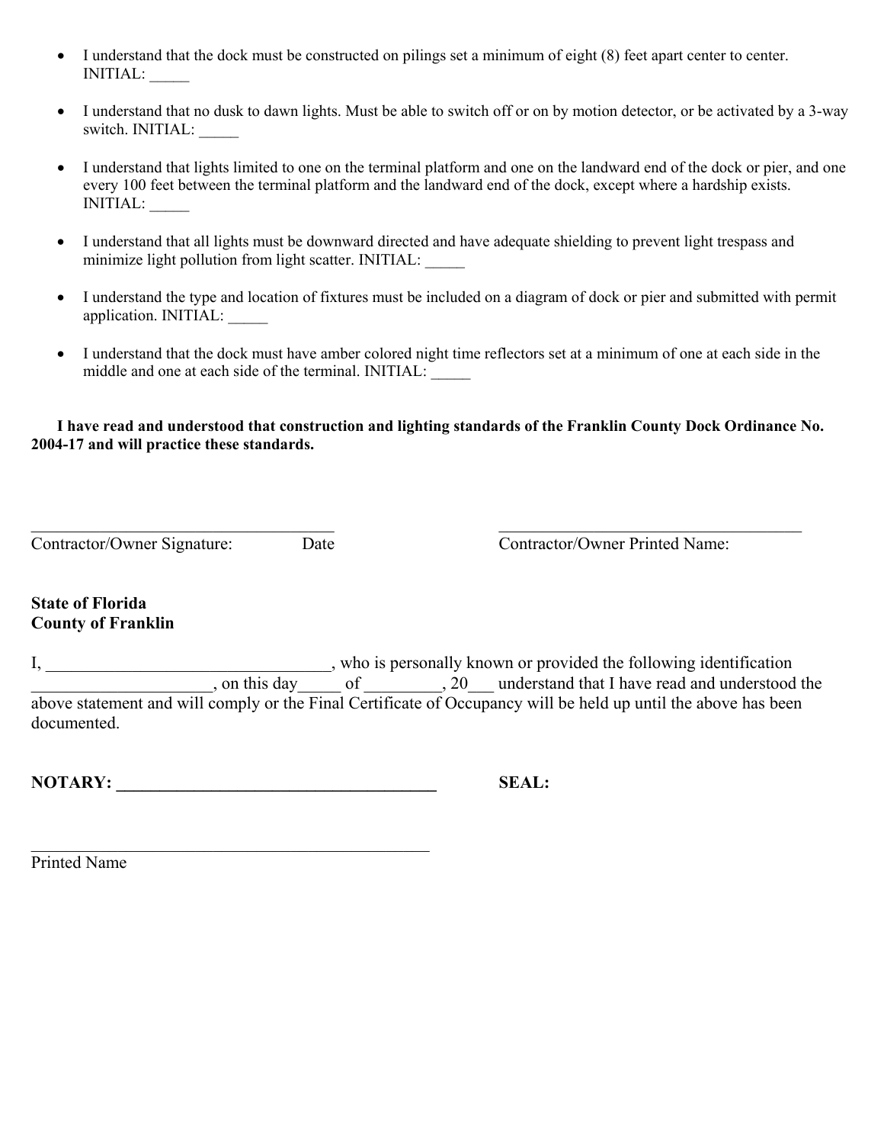- • I understand that the dock must be constructed on pilings set a minimum of eight (8) feet apart center to center. INITIAL: \_\_\_\_\_
- I understand that no dusk to dawn lights. Must be able to switch off or on by motion detector, or be activated by a 3-way switch. INITIAL: \_\_\_\_\_
- • I understand that lights limited to one on the terminal platform and one on the landward end of the dock or pier, and one every 100 feet between the terminal platform and the landward end of the dock, except where a hardship exists. INITIAL: \_\_\_\_\_
- • I understand that all lights must be downward directed and have adequate shielding to prevent light trespass and minimize light pollution from light scatter. INITIAL:
- I understand the type and location of fixtures must be included on a diagram of dock or pier and submitted with permit application. INITIAL: \_\_\_\_\_
- middle and one at each side of the terminal. INITIAL: • I understand that the dock must have amber colored night time reflectors set at a minimum of one at each side in the

**I have read and understood that construction and lighting standards of the Franklin County Dock Ordinance No. 2004-17 and will practice these standards.** 

| Contractor/Owner Signature: | Da |
|-----------------------------|----|
|                             |    |

te Contractor/Owner Printed Name:

#### **State of Florida County of Franklin**

 above statement and will comply or the Final Certificate of Occupancy will be held up until the above has been , who is personally known or provided the following identification , on this day of  $\qquad \qquad$ , 20 understand that I have read and understood the documented.

NOTARY: SEAL:

 Printed Name\_\_\_\_\_\_\_\_\_\_\_\_\_\_\_\_\_\_\_\_\_\_\_\_\_\_\_\_\_\_\_\_\_\_\_\_\_\_\_\_\_\_\_\_\_\_